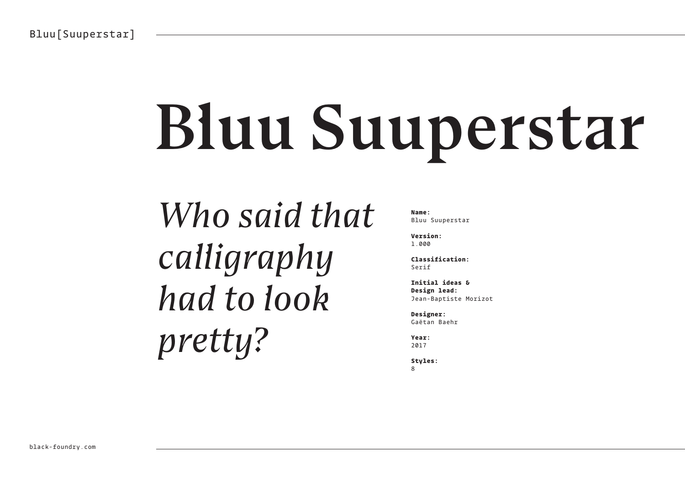# Bluu Suuperstar

*Who said that calligraphy had to look pretty?*

**Name:**  Bluu Suuperstar

**Version:**  1.000

**Classification:**  Serif

**Initial ideas & Design lead:** Jean-Baptiste Morizot

**Designer:**  Gaëtan Baehr

**Year:**  2017

**Styles:** 8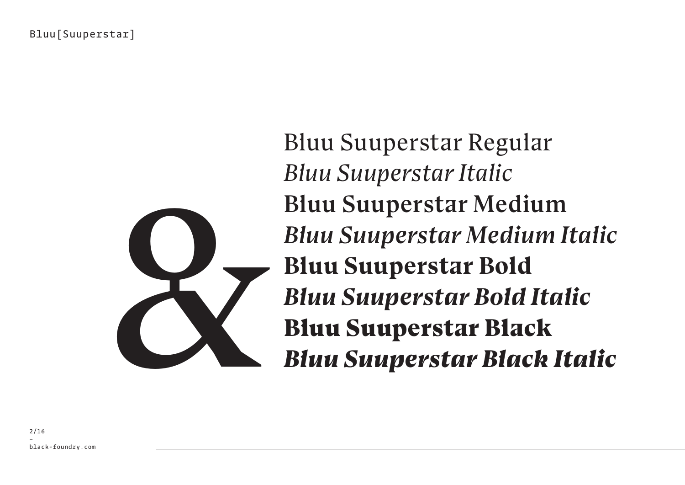

Bluu Suuperstar Regular *Bluu Suuperstar Italic* Bluu Suuperstar Medium *Bluu Suuperstar Medium Italic* **Bluu Suuperstar Bold** *Bluu Suuperstar Bold Italic* Bluu Suuperstar Medium<br>
Bluu Suuperstar Bold<br>
Bluu Suuperstar Bold<br>
Bluu Suuperstar Black<br>
Bluu Suuperstar Black<br>
Bluu Suuperstar Black Italic<br>
Bluu Suuperstar Black Italic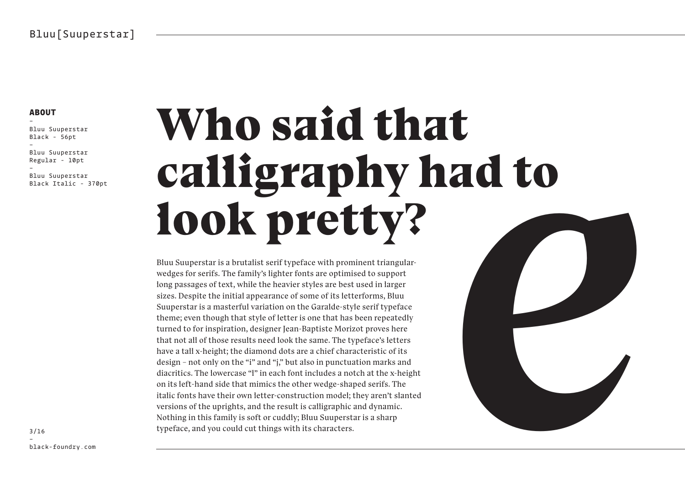### **ABOUT**

– Bluu Suuperstar Black - 56pt – Bluu Suuperstar Regular - 10pt – Bluu Suuperstar Black Italic - 370pt

# Who said that calligraphy had to look pretty?

Bluu Suuperstar is a brutalist serif typeface with prominent triangularwedges for serifs. The family's lighter fonts are optimised to support long passages of text, while the heavier styles are best used in larger sizes. Despite the initial appearance of some of its letterforms, Bluu Suuperstar is a masterful variation on the Garalde-style serif typeface theme; even though that style of letter is one that has been repeatedly turned to for inspiration, designer Jean-Baptiste Morizot proves here that not all of those results need look the same. The typeface's letters have a tall x-height; the diamond dots are a chief characteristic of its design – not only on the "i" and "j," but also in punctuation marks and diacritics. The lowercase "l" in each font includes a notch at the x-height on its left-hand side that mimics the other wedge-shaped serifs. The italic fonts have their own letter-construction model; they aren't slanted versions of the uprights, and the result is calligraphic and dynamic. Nothing in this family is soft or cuddly; Bluu Suuperstar is a sharp typeface, and you could cut things with its characters.

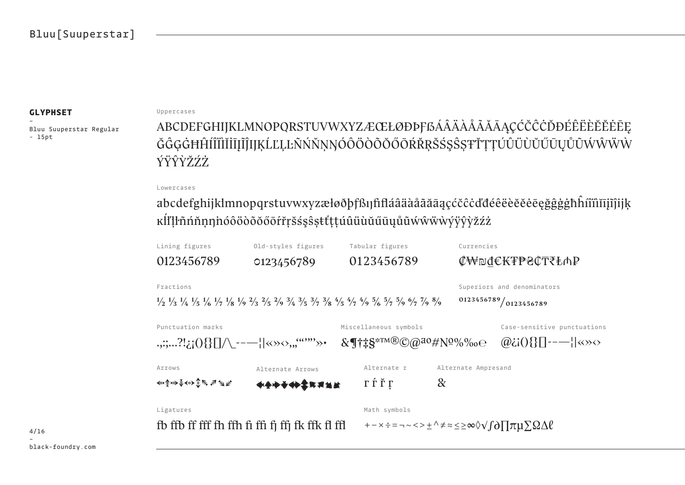– Bluu Suuperstar Regular - 15pt

#### **GLYPHSET** Uppercases

ABCDEFGHIJKLMNOPQRSTUVWXYZÆŒŁØĐÞFßÁÂÄÀÅÅÃĀĄÇĆČĊĎĐÉÊËÈĔĖĖĒĘ ĞĜĢĠĦĤĺĨĨĬĬĬĪĮĨĴIJĶĹĽĻĿÑŃŇŅŊÓÔÖŎŎŎŎŎŔŘŖŠŚŞŜȘŦŤŢŢÚÛÜŬŬŰŪŲŮŨŴŴŴŴ ÝŸŶŶŽŹ

### Lowercases

abcdefghijklmnopqrstuvwxyzæłøðþfßıjfifláâäàåãāąçćčĉċďđéêëèĕěēęğĝģģħĥíîïìĭīįîjìjķ ĸĺľļŀñńňņŋ'nóôöòõŏőōŕřŗšśşŝșŧťţțúûüùŭűūųůũẃŵẅẁýÿŷỳžźż

| Lining figures                               | Old-styles figures                                                                                                                                                                                                                                                                                                  | Tabular figures                                              | Currencies                                                                                                                   |  |
|----------------------------------------------|---------------------------------------------------------------------------------------------------------------------------------------------------------------------------------------------------------------------------------------------------------------------------------------------------------------------|--------------------------------------------------------------|------------------------------------------------------------------------------------------------------------------------------|--|
| 0123456789                                   | 0123456789                                                                                                                                                                                                                                                                                                          | 0123456789                                                   | ₡₩₪₫€₭₮₱₴₵₸₹₺₼₽                                                                                                              |  |
| Fractions                                    |                                                                                                                                                                                                                                                                                                                     |                                                              | Superiors and denominators                                                                                                   |  |
|                                              | $\frac{1}{2}$ $\frac{1}{3}$ $\frac{1}{4}$ $\frac{1}{5}$ $\frac{1}{6}$ $\frac{1}{7}$ $\frac{1}{8}$ $\frac{1}{9}$ $\frac{1}{9}$ $\frac{2}{3}$ $\frac{2}{5}$ $\frac{2}{9}$ $\frac{3}{4}$ $\frac{3}{5}$ $\frac{3}{7}$ $\frac{3}{8}$ $\frac{4}{5}$ $\frac{4}{7}$ $\frac{4}{9}$ $\frac{5}{9}$ $\frac{5}{7}$ $\frac{5}{9}$ |                                                              | 0123456789/0123456789                                                                                                        |  |
| Punctuation marks                            |                                                                                                                                                                                                                                                                                                                     | Miscellaneous symbols                                        | Case-sensitive punctuations                                                                                                  |  |
| .,:;?!¿;(){}[]/\_---  «»<>,,, <sup></sup> »+ |                                                                                                                                                                                                                                                                                                                     | $&\P$ <sup>†</sup> ‡§ <sup>*™®</sup> ©@ <sup>ao</sup> #Nº%‰e | $\omega$ $\omega$ $\{0\}$ $\{\}$ $\{-\frac{1}{2}\}$ $\langle \omega \rangle$                                                 |  |
| Arrows                                       | Alternate Arrows                                                                                                                                                                                                                                                                                                    | Alternate r                                                  | Alternate Ampresand                                                                                                          |  |
| <<<余₩善√◆◆◆◆ 京 ネ 当 些                          | <b>◆◆◆◆◆◆◆FR用当生</b>                                                                                                                                                                                                                                                                                                 | ГЃŤГ                                                         | $\&$                                                                                                                         |  |
| Ligatures                                    |                                                                                                                                                                                                                                                                                                                     | Math symbols                                                 |                                                                                                                              |  |
|                                              | fb ffb ff fff fh ffh fi ffi fj ffj fk ffk fl ffl                                                                                                                                                                                                                                                                    |                                                              | $+ - \times \div = - \times \times \pm \wedge \neq \infty \leq \geq \infty \lor \text{for } \pi \mu \sum \Omega \Delta \ell$ |  |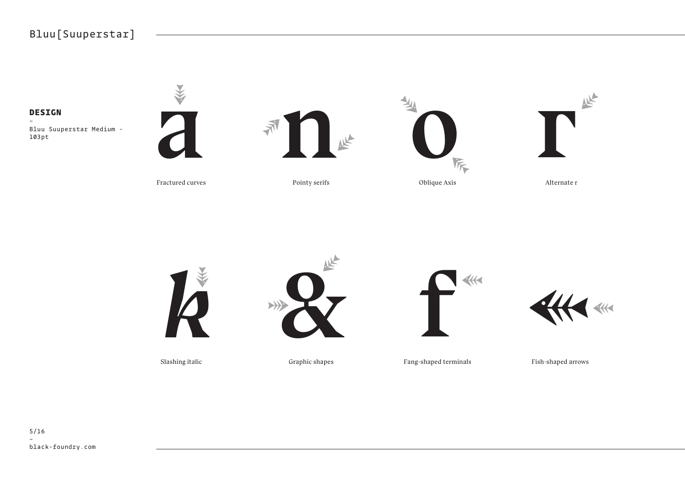### Bluu[Suuperstar]

–



Fractured curves

Pointy serifs

Oblique Axis Alternate r





Slashing italic Graphic shapes





Fang-shaped terminals

Fish-shaped arrows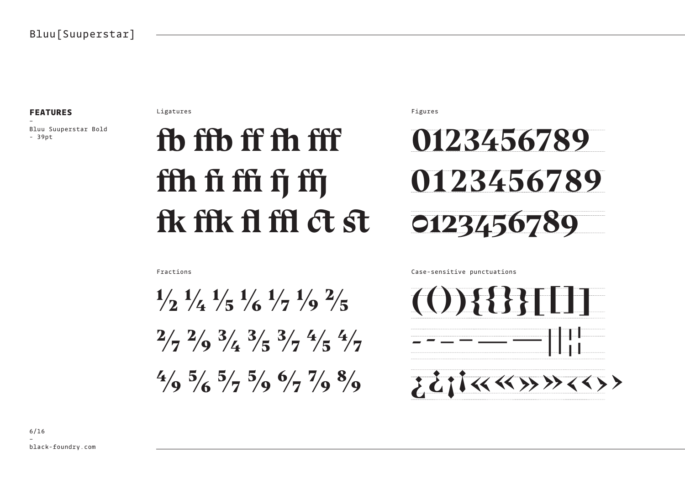### **FFATURES**

Bluu Suuperstar Bold  $-39pt$ 

Ligatures

## fh ffh ff fh fff ffh fi ffi fj ffj fik fik fi fil ct st

Figures



Fractions

 $\frac{1}{2}$   $\frac{1}{4}$   $\frac{1}{5}$   $\frac{1}{6}$   $\frac{1}{7}$   $\frac{1}{9}$   $\frac{2}{5}$  $\frac{2}{7}$   $\frac{2}{9}$   $\frac{3}{4}$   $\frac{3}{5}$   $\frac{3}{7}$   $\frac{4}{5}$   $\frac{4}{7}$  $\frac{4}{9}$  5/6  $\frac{5}{7}$  5/9  $\frac{6}{7}$  7/9  $\frac{8}{9}$ 

Case-sensitive punctuations

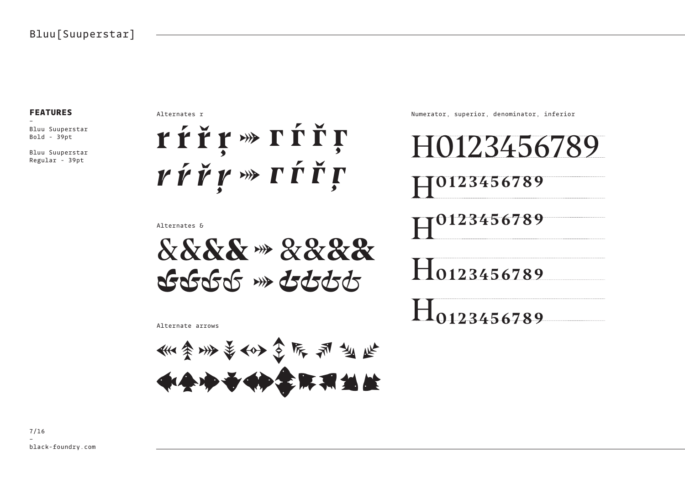### **FEATURES**

– Bluu Suuperstar Bold - 39pt

Bluu Suuperstar Regular - 39pt

Alternates r



Alternates &

&&**&**& **→** &&**&**& *&&&&* **→***&&&&*

Numerator, superior, denominator, inferior

13456 H0123456789 H0123456789 H0123456789 H0123456789

Alternate arrows

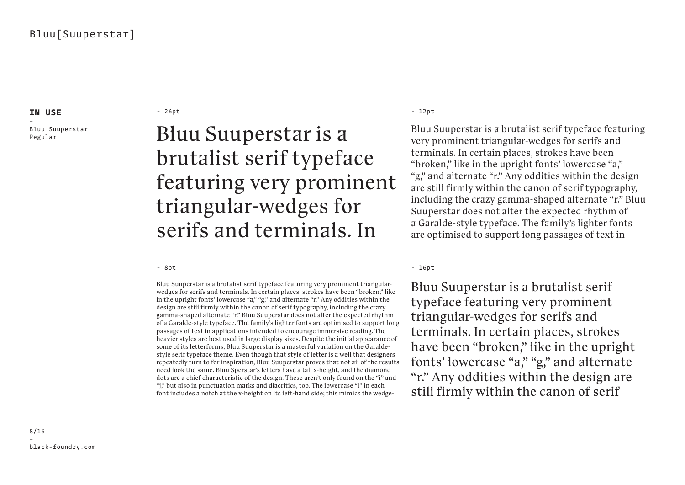– Bluu Suuperstar Regular

- 26pt - 12pt - 12pt - 12pt - 12pt - 12pt - 12pt - 12pt - 12pt - 12pt - 12pt - 12pt - 12pt - 12pt - 12pt - 12pt - 12pt - 12pt - 12pt - 12pt - 12pt - 12pt - 12pt - 12pt - 12pt - 12pt - 12pt - 12pt - 12pt - 12pt - 12pt - 12p

### Bluu Suuperstar is a brutalist serif typeface featuring very prominent triangular-wedges for serifs and terminals. In

Bluu Suuperstar is a brutalist serif typeface featuring very prominent triangularwedges for serifs and terminals. In certain places, strokes have been "broken," like in the upright fonts' lowercase "a," "g," and alternate "r." Any oddities within the design are still firmly within the canon of serif typography, including the crazy gamma-shaped alternate "r." Bluu Suuperstar does not alter the expected rhythm of a Garalde-style typeface. The family's lighter fonts are optimised to support long passages of text in applications intended to encourage immersive reading. The heavier styles are best used in large display sizes. Despite the initial appearance of some of its letterforms, Bluu Suuperstar is a masterful variation on the Garaldestyle serif typeface theme. Even though that style of letter is a well that designers repeatedly turn to for inspiration, Bluu Suuperstar proves that not all of the results need look the same. Bluu Sperstar's letters have a tall x-height, and the diamond dots are a chief characteristic of the design. These aren't only found on the "i" and "j," but also in punctuation marks and diacritics, too. The lowercase "l" in each font includes a notch at the x-height on its left-hand side; this mimics the wedge-

Bluu Suuperstar is a brutalist serif typeface featuring very prominent triangular-wedges for serifs and terminals. In certain places, strokes have been "broken," like in the upright fonts' lowercase "a," "g," and alternate "r." Any oddities within the design are still firmly within the canon of serif typography, including the crazy gamma-shaped alternate "r." Bluu Suuperstar does not alter the expected rhythm of a Garalde-style typeface. The family's lighter fonts are optimised to support long passages of text in

- 8pt - 16pt - 16pt - 16pt - 16pt - 16pt - 16pt - 16pt - 16pt - 16pt - 16pt - 16pt - 16pt - 16pt - 16pt - 16pt

Bluu Suuperstar is a brutalist serif typeface featuring very prominent triangular-wedges for serifs and terminals. In certain places, strokes have been "broken," like in the upright fonts' lowercase "a," "g," and alternate "r." Any oddities within the design are still firmly within the canon of serif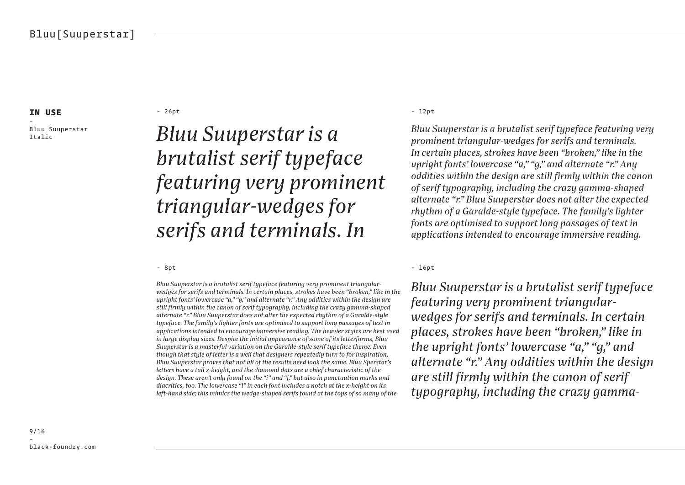– Bluu Suuperstar Italic

- 26pt - 12pt - 12pt - 12pt - 12pt - 12pt - 12pt - 12pt - 12pt - 12pt - 12pt - 12pt - 12pt - 12pt - 12pt - 12pt - 12pt - 12pt - 12pt - 12pt - 12pt - 12pt - 12pt - 12pt - 12pt - 12pt - 12pt - 12pt - 12pt - 12pt - 12pt - 12p

### *Bluu Suuperstar is a brutalist serif typeface featuring very prominent triangular-wedges for serifs and terminals. In*

*Bluu Suuperstar is a brutalist serif typeface featuring very prominent triangularwedges for serifs and terminals. In certain places, strokes have been "broken," like in the upright fonts' lowercase "a," "g," and alternate "r." Any oddities within the design are still firmly within the canon of serif typography, including the crazy gamma-shaped alternate "r." Bluu Suuperstar does not alter the expected rhythm of a Garalde-style typeface. The family's lighter fonts are optimised to support long passages of text in applications intended to encourage immersive reading. The heavier styles are best used in large display sizes. Despite the initial appearance of some of its letterforms, Bluu Suuperstar is a masterful variation on the Garalde-style serif typeface theme. Even though that style of letter is a well that designers repeatedly turn to for inspiration, Bluu Suuperstar proves that not all of the results need look the same. Bluu Sperstar's letters have a tall x-height, and the diamond dots are a chief characteristic of the design. These aren't only found on the "i" and "j," but also in punctuation marks and diacritics, too. The lowercase "l" in each font includes a notch at the x-height on its left-hand side; this mimics the wedge-shaped serifs found at the tops of so many of the* 

*Bluu Suuperstar is a brutalist serif typeface featuring very prominent triangular-wedges for serifs and terminals. In certain places, strokes have been "broken," like in the upright fonts' lowercase "a," "g," and alternate "r." Any oddities within the design are still firmly within the canon of serif typography, including the crazy gamma-shaped alternate "r." Bluu Suuperstar does not alter the expected rhythm of a Garalde-style typeface. The family's lighter fonts are optimised to support long passages of text in applications intended to encourage immersive reading.* 

- 8pt - 16pt - 16pt - 16pt - 16pt - 16pt - 16pt - 16pt - 16pt - 16pt - 16pt - 16pt - 16pt - 16pt - 16pt - 16pt

*Bluu Suuperstar is a brutalist serif typeface featuring very prominent triangularwedges for serifs and terminals. In certain places, strokes have been "broken," like in the upright fonts' lowercase "a," "g," and alternate "r." Any oddities within the design are still firmly within the canon of serif typography, including the crazy gamma-*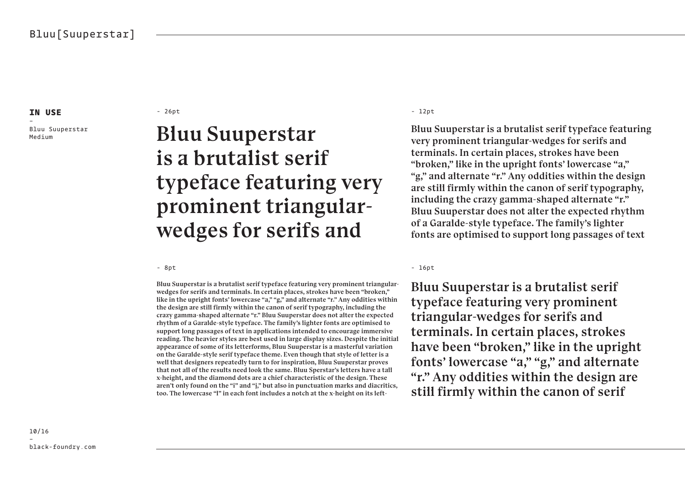– Bluu Suuperstar Medium

- 26pt - 12pt - 12pt - 12pt - 12pt - 12pt - 12pt - 12pt - 12pt - 12pt - 12pt - 12pt - 12pt - 12pt - 12pt - 12pt - 12pt - 12pt - 12pt - 12pt - 12pt - 12pt - 12pt - 12pt - 12pt - 12pt - 12pt - 12pt - 12pt - 12pt - 12pt - 12p

### Bluu Suuperstar is a brutalist serif typeface featuring very prominent triangularwedges for serifs and

- 8pt

Bluu Suuperstar is a brutalist serif typeface featuring very prominent triangularwedges for serifs and terminals. In certain places, strokes have been "broken," like in the upright fonts' lowercase "a," "g," and alternate "r." Any oddities within the design are still firmly within the canon of serif typography, including the crazy gamma-shaped alternate "r." Bluu Suuperstar does not alter the expected rhythm of a Garalde-style typeface. The family's lighter fonts are optimised to support long passages of text in applications intended to encourage immersive reading. The heavier styles are best used in large display sizes. Despite the initial appearance of some of its letterforms, Bluu Suuperstar is a masterful variation on the Garalde-style serif typeface theme. Even though that style of letter is a well that designers repeatedly turn to for inspiration, Bluu Suuperstar proves that not all of the results need look the same. Bluu Sperstar's letters have a tall x-height, and the diamond dots are a chief characteristic of the design. These aren't only found on the "i" and "j," but also in punctuation marks and diacritics, too. The lowercase "l" in each font includes a notch at the x-height on its left-

Bluu Suuperstar is a brutalist serif typeface featuring very prominent triangular-wedges for serifs and terminals. In certain places, strokes have been "broken," like in the upright fonts' lowercase "a," "g," and alternate "r." Any oddities within the design are still firmly within the canon of serif typography, including the crazy gamma-shaped alternate "r." Bluu Suuperstar does not alter the expected rhythm of a Garalde-style typeface. The family's lighter fonts are optimised to support long passages of text

- 16pt

Bluu Suuperstar is a brutalist serif typeface featuring very prominent triangular-wedges for serifs and terminals. In certain places, strokes have been "broken," like in the upright fonts' lowercase "a," "g," and alternate "r." Any oddities within the design are still firmly within the canon of serif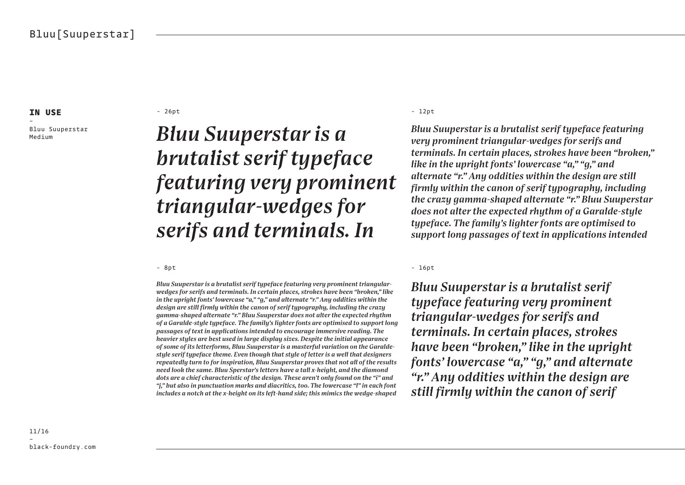– Bluu Suuperstar Medium

- 26pt - 12pt - 12pt - 12pt - 12pt - 12pt - 12pt - 12pt - 12pt - 12pt - 12pt - 12pt - 12pt - 12pt - 12pt - 12pt - 12pt - 12pt - 12pt - 12pt - 12pt - 12pt - 12pt - 12pt - 12pt - 12pt - 12pt - 12pt - 12pt - 12pt - 12pt - 12p

### *Bluu Suuperstar is a brutalist serif typeface featuring very prominent triangular-wedges for serifs and terminals. In*

- 8pt

*Bluu Suuperstar is a brutalist serif typeface featuring very prominent triangularwedges for serifs and terminals. In certain places, strokes have been "broken," like in the upright fonts' lowercase "a," "g," and alternate "r." Any oddities within the design are still firmly within the canon of serif typography, including the crazy gamma-shaped alternate "r." Bluu Suuperstar does not alter the expected rhythm of a Garalde-style typeface. The family's lighter fonts are optimised to support long passages of text in applications intended to encourage immersive reading. The heavier styles are best used in large display sizes. Despite the initial appearance of some of its letterforms, Bluu Suuperstar is a masterful variation on the Garaldestyle serif typeface theme. Even though that style of letter is a well that designers repeatedly turn to for inspiration, Bluu Suuperstar proves that not all of the results need look the same. Bluu Sperstar's letters have a tall x-height, and the diamond dots are a chief characteristic of the design. These aren't only found on the "i" and "j," but also in punctuation marks and diacritics, too. The lowercase "l" in each font includes a notch at the x-height on its left-hand side; this mimics the wedge-shaped* 

*Bluu Suuperstar is a brutalist serif typeface featuring very prominent triangular-wedges for serifs and terminals. In certain places, strokes have been "broken," like in the upright fonts' lowercase "a," "g," and alternate "r." Any oddities within the design are still firmly within the canon of serif typography, including the crazy gamma-shaped alternate "r." Bluu Suuperstar does not alter the expected rhythm of a Garalde-style typeface. The family's lighter fonts are optimised to support long passages of text in applications intended* 

- 16pt

*Bluu Suuperstar is a brutalist serif typeface featuring very prominent triangular-wedges for serifs and terminals. In certain places, strokes have been "broken," like in the upright fonts' lowercase "a," "g," and alternate "r." Any oddities within the design are still firmly within the canon of serif* 

11/16 – black-foundry.com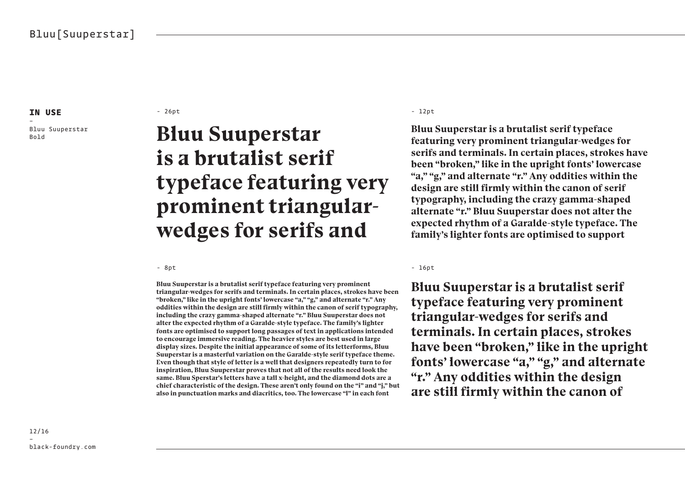– Bluu Suuperstar

#### - 26pt - 12pt - 12pt - 12pt - 12pt - 12pt - 12pt - 12pt - 12pt - 12pt - 12pt - 12pt - 12pt - 12pt - 12pt - 12pt - 12pt - 12pt - 12pt - 12pt - 12pt - 12pt - 12pt - 12pt - 12pt - 12pt - 12pt - 12pt - 12pt - 12pt - 12pt - 12p

### **Bluu Suuperstar Bluu Suuperstar is a brutalist serif typeface featuring very prominent triangularwedges for serifs and**

**Bluu Suuperstar is a brutalist serif typeface featuring very prominent triangular-wedges for serifs and terminals. In certain places, strokes have been "broken," like in the upright fonts' lowercase "a," "g," and alternate "r." Any oddities within the design are still firmly within the canon of serif typography, including the crazy gamma-shaped alternate "r." Bluu Suuperstar does not alter the expected rhythm of a Garalde-style typeface. The family's lighter fonts are optimised to support long passages of text in applications intended to encourage immersive reading. The heavier styles are best used in large display sizes. Despite the initial appearance of some of its letterforms, Bluu Suuperstar is a masterful variation on the Garalde-style serif typeface theme. Even though that style of letter is a well that designers repeatedly turn to for inspiration, Bluu Suuperstar proves that not all of the results need look the same. Bluu Sperstar's letters have a tall x-height, and the diamond dots are a chief characteristic of the design. These aren't only found on the "i" and "j," but also in punctuation marks and diacritics, too. The lowercase "l" in each font** 

**Bluu Suuperstar is a brutalist serif typeface featuring very prominent triangular-wedges for serifs and terminals. In certain places, strokes have been "broken," like in the upright fonts' lowercase "a," "g," and alternate "r." Any oddities within the design are still firmly within the canon of serif typography, including the crazy gamma-shaped alternate "r." Bluu Suuperstar does not alter the expected rhythm of a Garalde-style typeface. The family's lighter fonts are optimised to support** 

- 8pt - 16pt - 16pt - 16pt - 16pt - 16pt - 16pt - 16pt - 16pt - 16pt - 16pt - 16pt - 16pt - 16pt - 16pt - 16pt

**Bluu Suuperstar is a brutalist serif typeface featuring very prominent triangular-wedges for serifs and terminals. In certain places, strokes have been "broken," like in the upright fonts' lowercase "a," "g," and alternate "r." Any oddities within the design are still firmly within the canon of** 

12/16 – black-foundry.com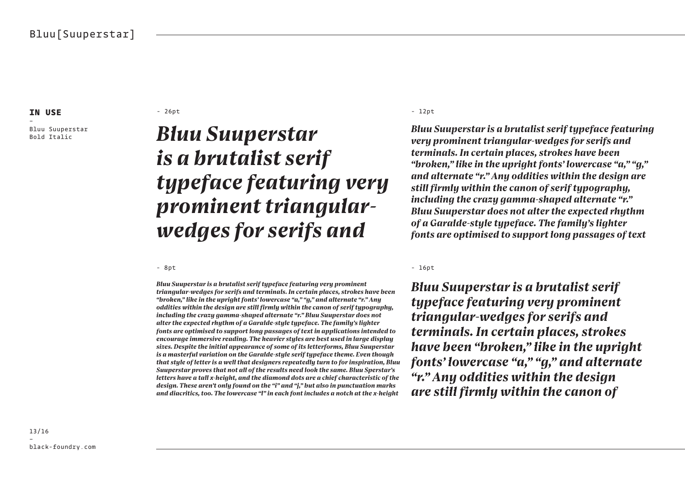– Bluu Suuperstar

#### - 26pt - 12pt - 12pt - 12pt - 12pt - 12pt - 12pt - 12pt - 12pt - 12pt - 12pt - 12pt - 12pt - 12pt - 12pt - 12pt - 12pt - 12pt - 12pt - 12pt - 12pt - 12pt - 12pt - 12pt - 12pt - 12pt - 12pt - 12pt - 12pt - 12pt - 12pt - 12p

### **Bluu Suuperstar** *Bluu Suuperstar* **Bluu Suuperstar** *is a brutalist serif typeface featuring very prominent triangularwedges for serifs and*

*Bluu Suuperstar is a brutalist serif typeface featuring very prominent triangular-wedges for serifs and terminals. In certain places, strokes have been "broken," like in the upright fonts' lowercase "a," "g," and alternate "r." Any oddities within the design are still firmly within the canon of serif typography, including the crazy gamma-shaped alternate "r." Bluu Suuperstar does not alter the expected rhythm of a Garalde-style typeface. The family's lighter fonts are optimised to support long passages of text in applications intended to encourage immersive reading. The heavier styles are best used in large display sizes. Despite the initial appearance of some of its letterforms, Bluu Suuperstar is a masterful variation on the Garalde-style serif typeface theme. Even though that style of letter is a well that designers repeatedly turn to for inspiration, Bluu Suuperstar proves that not all of the results need look the same. Bluu Sperstar's letters have a tall x-height, and the diamond dots are a chief characteristic of the design. These aren't only found on the "i" and "j," but also in punctuation marks and diacritics, too. The lowercase "l" in each font includes a notch at the x-height* 

*Bluu Suuperstar is a brutalist serif typeface featuring very prominent triangular-wedges for serifs and terminals. In certain places, strokes have been "broken," like in the upright fonts' lowercase "a," "g," and alternate "r." Any oddities within the design are still firmly within the canon of serif typography, including the crazy gamma-shaped alternate "r." Bluu Suuperstar does not alter the expected rhythm of a Garalde-style typeface. The family's lighter fonts are optimised to support long passages of text* 

#### - 8pt - 16pt - 16pt - 16pt - 16pt - 16pt - 16pt - 16pt - 16pt - 16pt - 16pt - 16pt - 16pt - 16pt - 16pt - 16pt

*Bluu Suuperstar is a brutalist serif typeface featuring very prominent triangular-wedges for serifs and terminals. In certain places, strokes have been "broken," like in the upright fonts' lowercase "a," "g," and alternate "r." Any oddities within the design are still firmly within the canon of*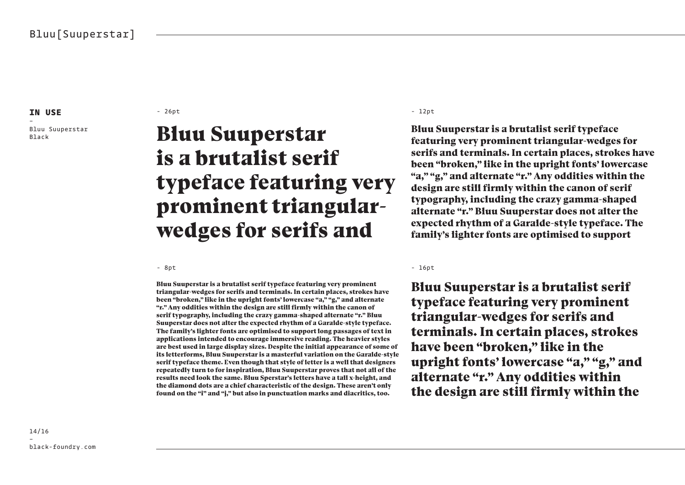– Bluu Suuperstar

#### - 26pt - 12pt - 12pt - 12pt - 12pt - 12pt - 12pt - 12pt - 12pt - 12pt - 12pt - 12pt - 12pt - 12pt - 12pt - 12pt - 12pt - 12pt - 12pt - 12pt - 12pt - 12pt - 12pt - 12pt - 12pt - 12pt - 12pt - 12pt - 12pt - 12pt - 12pt - 12p

### Bluu Suuperstar **Bluu Suuperstar** is a brutalist serif typeface featuring very prominent triangularwedges for serifs and

Bluu Suuperstar is a brutalist serif typeface featuring very prominent triangular-wedges for serifs and terminals. In certain places, strokes have been "broken," like in the upright fonts' lowercase "a," "g," and alternate "r." Any oddities within the design are still firmly within the canon of serif typography, including the crazy gamma-shaped alternate "r." Bluu Suuperstar does not alter the expected rhythm of a Garalde-style typeface. The family's lighter fonts are optimised to support long passages of text in applications intended to encourage immersive reading. The heavier styles are best used in large display sizes. Despite the initial appearance of some of its letterforms, Bluu Suuperstar is a masterful variation on the Garalde-style serif typeface theme. Even though that style of letter is a well that designers repeatedly turn to for inspiration, Bluu Suuperstar proves that not all of the results need look the same. Bluu Sperstar's letters have a tall x-height, and the diamond dots are a chief characteristic of the design. These aren't only found on the "i" and "j," but also in punctuation marks and diacritics, too.

Bluu Suuperstar is a brutalist serif typeface featuring very prominent triangular-wedges for serifs and terminals. In certain places, strokes have been "broken," like in the upright fonts' lowercase "a," "g," and alternate "r." Any oddities within the design are still firmly within the canon of serif typography, including the crazy gamma-shaped alternate "r." Bluu Suuperstar does not alter the expected rhythm of a Garalde-style typeface. The family's lighter fonts are optimised to support

- 8pt - 16pt - 16pt - 16pt - 16pt - 16pt - 16pt - 16pt - 16pt - 16pt - 16pt - 16pt - 16pt - 16pt - 16pt - 16pt

Bluu Suuperstar is a brutalist serif typeface featuring very prominent triangular-wedges for serifs and terminals. In certain places, strokes have been "broken," like in the upright fonts' lowercase "a," "g," and alternate "r." Any oddities within the design are still firmly within the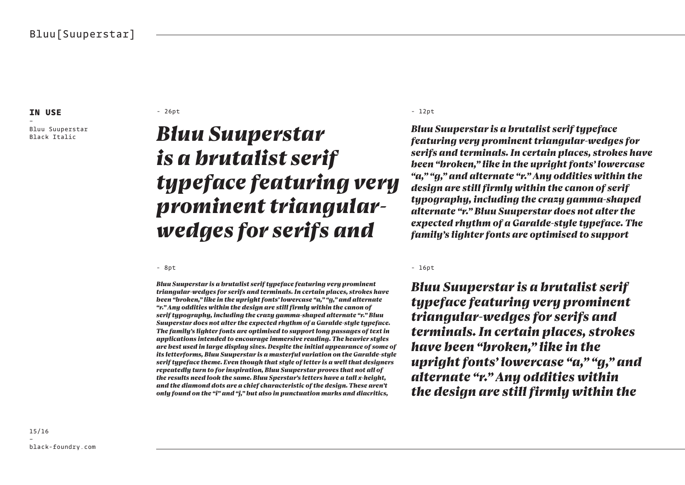– Bluu Suuperstar

#### - 26pt - 12pt - 12pt - 12pt - 12pt - 12pt - 12pt - 12pt - 12pt - 12pt - 12pt - 12pt - 12pt - 12pt - 12pt - 12pt - 12pt - 12pt - 12pt - 12pt - 12pt - 12pt - 12pt - 12pt - 12pt - 12pt - 12pt - 12pt - 12pt - 12pt - 12pt - 12p

### **Bluu Suuperstar Bluu Suuperstar** *is a brutalist serif typeface featuring very prominent triangularwedges for serifs and*

*Bluu Suuperstar is a brutalist serif typeface featuring very prominent triangular-wedges for serifs and terminals. In certain places, strokes have been "broken," like in the upright fonts' lowercase "a," "g," and alternate "r." Any oddities within the design are still firmly within the canon of serif typography, including the crazy gamma-shaped alternate "r." Bluu Suuperstar does not alter the expected rhythm of a Garalde-style typeface. The family's lighter fonts are optimised to support long passages of text in applications intended to encourage immersive reading. The heavier styles are best used in large display sizes. Despite the initial appearance of some of its letterforms, Bluu Suuperstar is a masterful variation on the Garalde-style serif typeface theme. Even though that style of letter is a well that designers repeatedly turn to for inspiration, Bluu Suuperstar proves that not all of the results need look the same. Bluu Sperstar's letters have a tall x-height, and the diamond dots are a chief characteristic of the design. These aren't only found on the "i" and "j," but also in punctuation marks and diacritics,* 

*Bluu Suuperstar is a brutalist serif typeface featuring very prominent triangular-wedges for serifs and terminals. In certain places, strokes have been "broken," like in the upright fonts' lowercase "a," "g," and alternate "r." Any oddities within the design are still firmly within the canon of serif typography, including the crazy gamma-shaped alternate "r." Bluu Suuperstar does not alter the expected rhythm of a Garalde-style typeface. The family's lighter fonts are optimised to support* 

- 8pt - 16pt - 16pt - 16pt - 16pt - 16pt - 16pt - 16pt - 16pt - 16pt - 16pt - 16pt - 16pt - 16pt - 16pt - 16pt

*Bluu Suuperstar is a brutalist serif typeface featuring very prominent triangular-wedges for serifs and terminals. In certain places, strokes have been "broken," like in the upright fonts' lowercase "a," "g," and alternate "r." Any oddities within the design are still firmly within the*